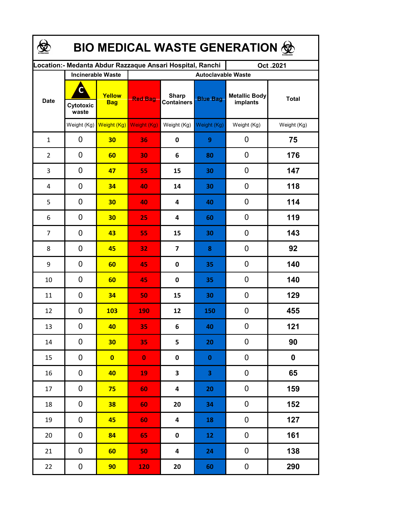| <b>BIO MEDICAL WASTE GENERATION ®</b> |                         |                                                  |                                                            |                                   |                                              |                                  |              |  |  |  |
|---------------------------------------|-------------------------|--------------------------------------------------|------------------------------------------------------------|-----------------------------------|----------------------------------------------|----------------------------------|--------------|--|--|--|
|                                       |                         |                                                  | Location: - Medanta Abdur Razzaque Ansari Hospital, Ranchi |                                   |                                              | Oct.2021                         |              |  |  |  |
| <b>Date</b>                           | O<br>Cytotoxic<br>waste | <b>Incinerable Waste</b><br>Yellow<br><b>Bag</b> | <b>Red Bag</b>                                             | <b>Sharp</b><br><b>Containers</b> | <b>Autoclavable Waste</b><br><b>Blue Bag</b> | <b>Metallic Body</b><br>implants | <b>Total</b> |  |  |  |
|                                       | Weight (Kg)             | Weight (Kg)                                      | Weight (Kg)                                                | Weight (Kg)                       | Weight (Kg)                                  | Weight (Kg)                      | Weight (Kg)  |  |  |  |
| $\mathbf{1}$                          | 0                       | 30                                               | 36                                                         | $\mathbf 0$                       | 9                                            | 0                                | 75           |  |  |  |
| $\overline{2}$                        | 0                       | 60                                               | 30                                                         | 6                                 | 80                                           | 0                                | 176          |  |  |  |
| 3                                     | $\mathbf 0$             | 47                                               | 55                                                         | 15                                | 30                                           | 0                                | 147          |  |  |  |
| 4                                     | 0                       | 34                                               | 40                                                         | 14                                | 30                                           | $\mathbf 0$                      | 118          |  |  |  |
| 5                                     | 0                       | 30                                               | 40                                                         | 4                                 | 40                                           | 0                                | 114          |  |  |  |
| 6                                     | 0                       | 30                                               | 25                                                         | 4                                 | 60                                           | 0                                | 119          |  |  |  |
| $\overline{7}$                        | $\mathbf 0$             | 43                                               | 55                                                         | 15                                | 30                                           | 0                                | 143          |  |  |  |
| 8                                     | 0                       | 45                                               | 32                                                         | $\overline{\mathbf{z}}$           | 8                                            | 0                                | 92           |  |  |  |
| 9                                     | 0                       | 60                                               | 45                                                         | 0                                 | 35                                           | 0                                | 140          |  |  |  |
| 10                                    | 0                       | 60                                               | 45                                                         | 0                                 | 35                                           | 0                                | 140          |  |  |  |
| 11                                    | 0                       | 34                                               | 50                                                         | 15                                | 30                                           | 0                                | 129          |  |  |  |
| 12                                    | 0                       | <b>103</b>                                       | 190                                                        | 12                                | 150                                          | $\mathbf 0$                      | 455          |  |  |  |
| 13                                    | 0                       | 40                                               | 35.                                                        | 6                                 | 40                                           | 0                                | 121          |  |  |  |
| 14                                    | 0                       | 30                                               | 35                                                         | 5                                 | 20                                           | $\pmb{0}$                        | 90           |  |  |  |
| 15                                    | 0                       | $\overline{\mathbf{0}}$                          | $\bullet$                                                  | 0                                 | $\pmb{0}$                                    | $\pmb{0}$                        | $\pmb{0}$    |  |  |  |
| 16                                    | 0                       | 40                                               | 19                                                         | 3                                 | 3                                            | $\pmb{0}$                        | 65           |  |  |  |
| 17                                    | 0                       | 75                                               | 60                                                         | 4                                 | 20                                           | 0                                | 159          |  |  |  |
| 18                                    | 0                       | 38                                               | 60                                                         | 20                                | 34                                           | $\pmb{0}$                        | 152          |  |  |  |
| 19                                    | 0                       | 45                                               | 60                                                         | $\overline{\mathbf{4}}$           | 18                                           | 0                                | 127          |  |  |  |
| $20\,$                                | 0                       | 84                                               | 65                                                         | $\pmb{0}$                         | 12                                           | 0                                | 161          |  |  |  |
| 21                                    | 0                       | 60                                               | 50                                                         | $\overline{\mathbf{4}}$           | 24                                           | 0                                | 138          |  |  |  |
| 22                                    | $\boldsymbol{0}$        | 90                                               | 120                                                        | 20                                | 60                                           | $\boldsymbol{0}$                 | 290          |  |  |  |